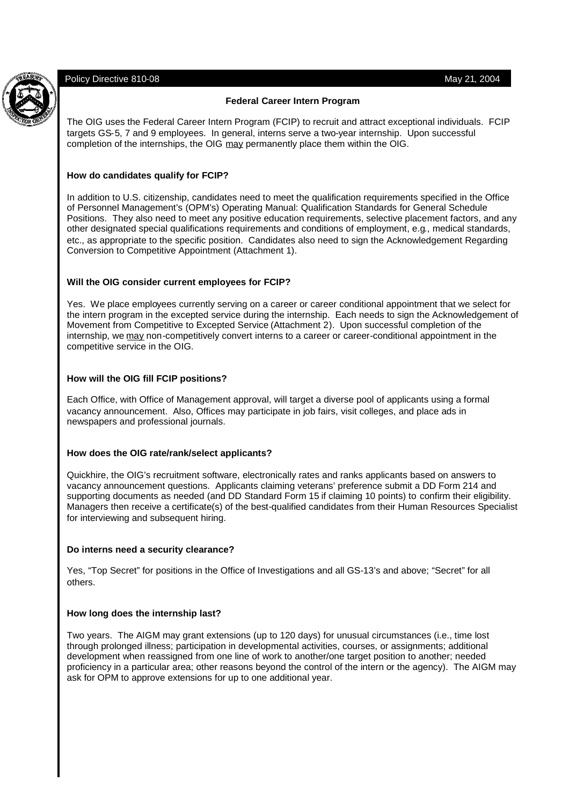Policy Directive 810-08 May 21, 2004

## **Federal Career Intern Program**

The OIG uses the Federal Career Intern Program (FCIP) to recruit and attract exceptional individuals. FCIP targets GS-5, 7 and 9 employees. In general, interns serve a two-year internship. Upon successful completion of the internships, the OIG may permanently place them within the OIG.

## **How do candidates qualify for FCIP?**

In addition to U.S. citizenship, candidates need to meet the qualification requirements specified in the Office of Personnel Management's (OPM's) Operating Manual: Qualification Standards for General Schedule Positions. They also need to meet any positive education requirements, selective placement factors, and any other designated special qualifications requirements and conditions of employment, e.g., medical standards, etc., as appropriate to the specific position. Candidates also need to sign the Acknowledgement Regarding Conversion to Competitive Appointment (Attachment 1).

## **Will the OIG consider current employees for FCIP?**

Yes. We place employees currently serving on a career or career conditional appointment that we select for the intern program in the excepted service during the internship. Each needs to sign the Acknowledgement of Movement from Competitive to Excepted Service (Attachment 2). Upon successful completion of the internship, we may non-competitively convert interns to a career or career-conditional appointment in the competitive service in the OIG.

# **How will the OIG fill FCIP positions?**

Each Office, with Office of Management approval, will target a diverse pool of applicants using a formal vacancy announcement. Also, Offices may participate in job fairs, visit colleges, and place ads in newspapers and professional journals.

## **How does the OIG rate/rank/select applicants?**

Quickhire, the OIG's recruitment software, electronically rates and ranks applicants based on answers to vacancy announcement questions. Applicants claiming veterans' preference submit a DD Form 214 and supporting documents as needed (and DD Standard Form 15 if claiming 10 points) to confirm their eligibility. Managers then receive a certificate(s) of the best-qualified candidates from their Human Resources Specialist for interviewing and subsequent hiring.

## **Do interns need a security clearance?**

Yes, "Top Secret" for positions in the Office of Investigations and all GS-13's and above; "Secret" for all others.

## **How long does the internship last?**

Two years. The AIGM may grant extensions (up to 120 days) for unusual circumstances (i.e., time lost through prolonged illness; participation in developmental activities, courses, or assignments; additional development when reassigned from one line of work to another/one target position to another; needed proficiency in a particular area; other reasons beyond the control of the intern or the agency). The AIGM may ask for OPM to approve extensions for up to one additional year.

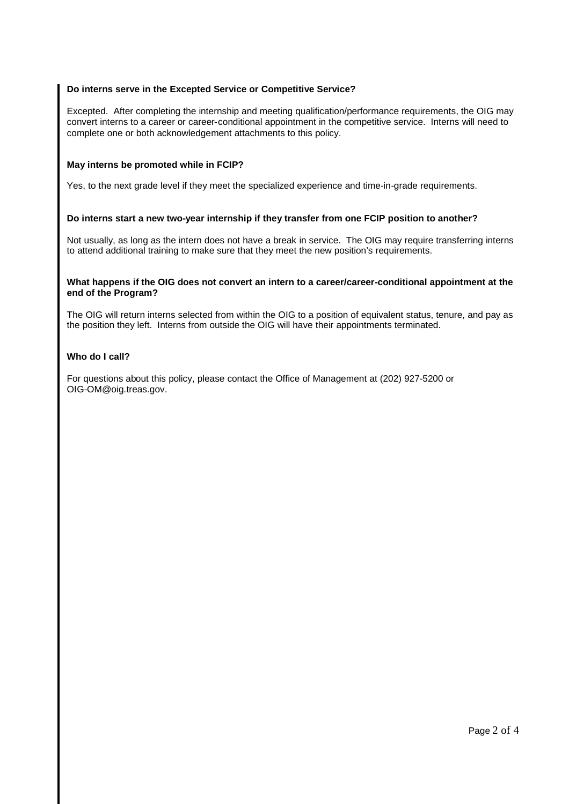## **Do interns serve in the Excepted Service or Competitive Service?**

Excepted. After completing the internship and meeting qualification/performance requirements, the OIG may convert interns to a career or career-conditional appointment in the competitive service. Interns will need to complete one or both acknowledgement attachments to this policy.

#### **May interns be promoted while in FCIP?**

Yes, to the next grade level if they meet the specialized experience and time-in-grade requirements.

#### **Do interns start a new two-year internship if they transfer from one FCIP position to another?**

Not usually, as long as the intern does not have a break in service. The OIG may require transferring interns to attend additional training to make sure that they meet the new position's requirements.

#### **What happens if the OIG does not convert an intern to a career/career-conditional appointment at the end of the Program?**

The OIG will return interns selected from within the OIG to a position of equivalent status, tenure, and pay as the position they left. Interns from outside the OIG will have their appointments terminated.

#### **Who do I call?**

For questions about this policy, please contact the Office of Management at (202) 927-5200 or OIG-OM@oig.treas.gov.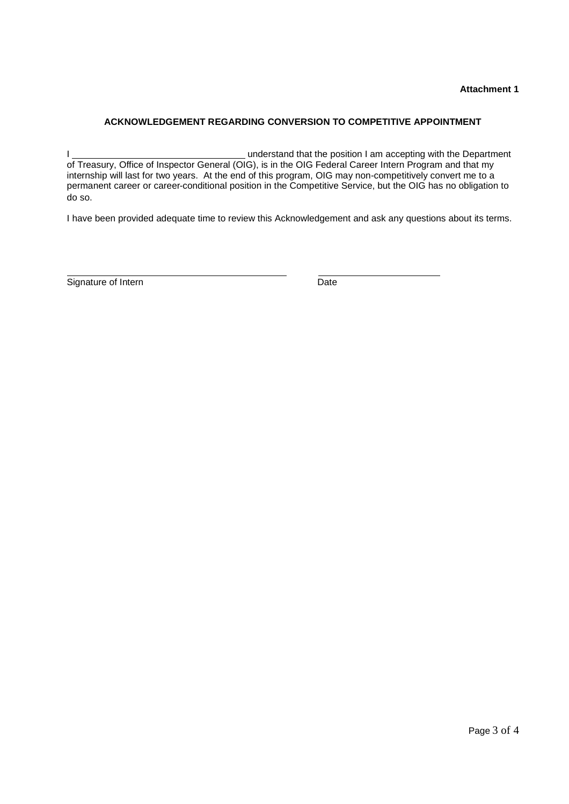# **ACKNOWLEDGEMENT REGARDING CONVERSION TO COMPETITIVE APPOINTMENT**

I UNIVERSITY OF A UNIVERSITY OF A UNIVERSITY OF A UNIVERSITY OF A UNIVERSITY OF A UNIVERSITY OF A UNIVERSITY OF A UNIVERSITY OF A UNIVERSITY OF A UNIVERSITY OF A UNIVERSITY OF A UNIVERSITY OF A UNIVERSITY OF A UNIVERSITY O of Treasury, Office of Inspector General (OIG), is in the OIG Federal Career Intern Program and that my internship will last for two years. At the end of this program, OIG may non-competitively convert me to a permanent career or career-conditional position in the Competitive Service, but the OIG has no obligation to do so.

I have been provided adequate time to review this Acknowledgement and ask any questions about its terms.

Signature of Intern Date